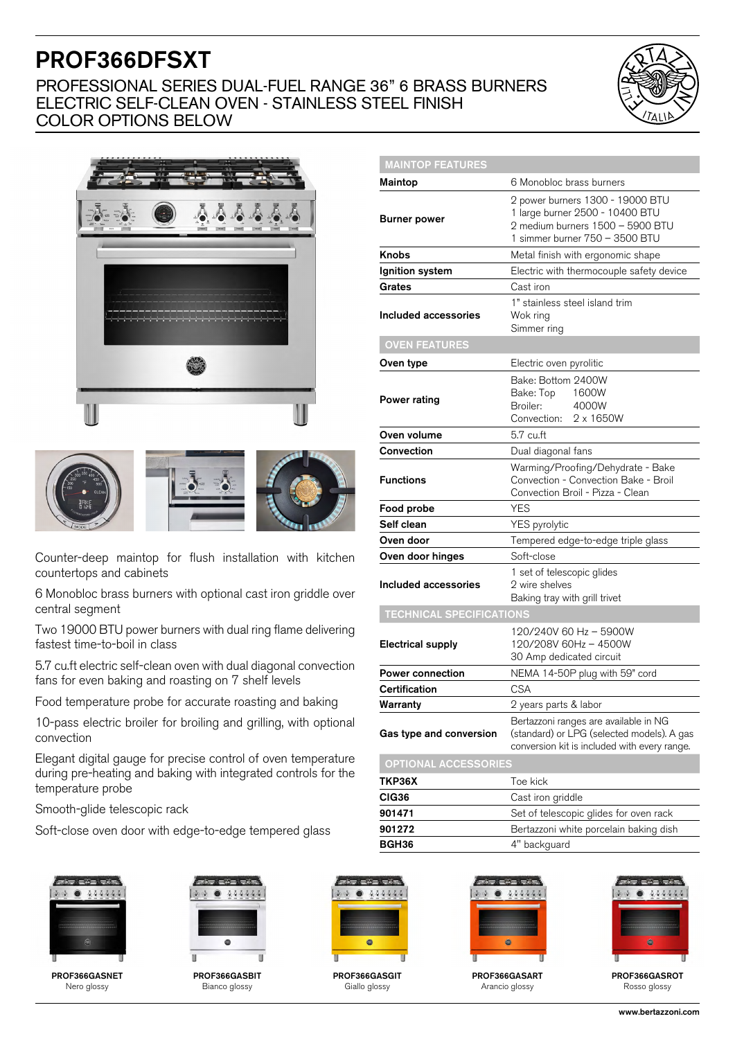# PROF366DFSXT

### PROFESSIONAL SERIES DUAL-FUEL RANGE 36" 6 BRASS BURNERS ELECTRIC SELF-CLEAN OVEN - STAINLESS STEEL FINISH COLOR OPTIONS BELOW

MAINTOP FEATURES







Counter-deep maintop for flush installation with kitchen countertops and cabinets

6 Monobloc brass burners with optional cast iron griddle over central segment

Two 19000 BTU power burners with dual ring flame delivering fastest time-to-boil in class

5.7 cu.ft electric self-clean oven with dual diagonal convection fans for even baking and roasting on 7 shelf levels

Food temperature probe for accurate roasting and baking

10-pass electric broiler for broiling and grilling, with optional convection

Elegant digital gauge for precise control of oven temperature during pre-heating and baking with integrated controls for the temperature probe

Smooth-glide telescopic rack

Soft-close oven door with edge-to-edge tempered glass



PROF366GASNET Nero glossy



PROF366GASBIT Bianco glossy



PROF366GASGIT Giallo glossy

| <b>Maintop</b>                  | 6 Monobloc brass burners                                                                                                                  |
|---------------------------------|-------------------------------------------------------------------------------------------------------------------------------------------|
| <b>Burner power</b>             | 2 power burners 1300 - 19000 BTU<br>1 large burner 2500 - 10400 BTU<br>2 medium burners 1500 - 5900 BTU<br>1 simmer burner 750 - 3500 BTU |
| <b>Knobs</b>                    | Metal finish with ergonomic shape                                                                                                         |
| Ignition system                 | Electric with thermocouple safety device                                                                                                  |
| Grates                          | Cast iron                                                                                                                                 |
| Included accessories            | 1" stainless steel island trim<br>Wok ring<br>Simmer ring                                                                                 |
| <b>OVEN FEATURES</b>            |                                                                                                                                           |
| Oven type                       | Electric oven pyrolitic                                                                                                                   |
| Power rating                    | Bake: Bottom 2400W<br>Bake: Top<br>1600W<br>4000W<br>Broiler:<br>Convection: 2 x 1650W                                                    |
| Oven volume                     | 5.7 cu.ft                                                                                                                                 |
| Convection                      | Dual diagonal fans                                                                                                                        |
| <b>Functions</b>                | Warming/Proofing/Dehydrate - Bake<br>Convection - Convection Bake - Broil<br>Convection Broil - Pizza - Clean                             |
| Food probe                      | <b>YES</b>                                                                                                                                |
| Self clean                      | YES pyrolytic                                                                                                                             |
| Oven door                       | Tempered edge-to-edge triple glass                                                                                                        |
| Oven door hinges                | Soft-close                                                                                                                                |
| Included accessories            | 1 set of telescopic glides<br>2 wire shelves<br>Baking tray with grill trivet                                                             |
| <b>TECHNICAL SPECIFICATIONS</b> |                                                                                                                                           |
| <b>Electrical supply</b>        | 120/240V 60 Hz - 5900W<br>120/208V 60Hz - 4500W<br>30 Amp dedicated circuit                                                               |
| <b>Power connection</b>         | NEMA 14-50P plug with 59" cord                                                                                                            |
| Certification                   | <b>CSA</b>                                                                                                                                |
| Warranty                        | 2 years parts & labor                                                                                                                     |
| Gas type and conversion         | Bertazzoni ranges are available in NG<br>(standard) or LPG (selected models). A gas<br>conversion kit is included with every range.       |
| <b>OPTIONAL ACCESSORIES</b>     |                                                                                                                                           |
| ТКР36Х                          | Toe kick                                                                                                                                  |
| CIG36                           | Cast iron griddle                                                                                                                         |
| 901471                          | Set of telescopic glides for oven rack                                                                                                    |
| 901272                          | Bertazzoni white porcelain baking dish                                                                                                    |



BGH36 4" backguard

PROF366GASART Arancio glossy

888888



PROF366GASROT Rosso glossy